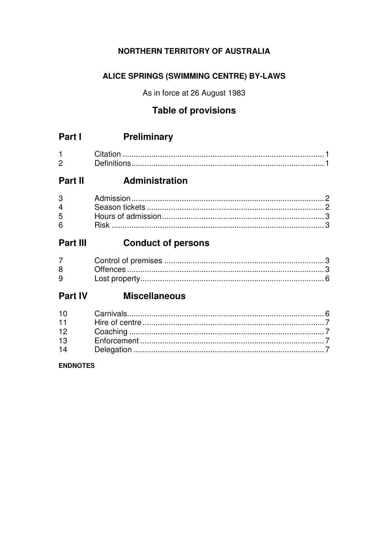## **NORTHERN TERRITORY OF AUSTRALIA**

## ALICE SPRINGS (SWIMMING CENTRE) BY-LAWS

As in force at 26 August 1983

## **Table of provisions**

| Part I<br><b>Preliminary</b> |
|------------------------------|
|------------------------------|

| ◠ |  |
|---|--|

# Part II Administration

| $6 \qquad \qquad$ |  |
|-------------------|--|

#### Part III **Conduct of persons**

| $8^{\circ}$ |  |
|-------------|--|
| $9^{\circ}$ |  |

# **Part IV Miscellaneous**

## **ENDNOTES**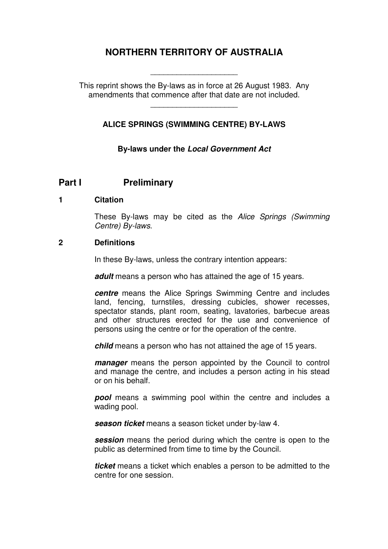## **NORTHERN TERRITORY OF AUSTRALIA**

This reprint shows the By-laws as in force at 26 August 1983. Any amendments that commence after that date are not included.

\_\_\_\_\_\_\_\_\_\_\_\_\_\_\_\_\_\_\_\_

\_\_\_\_\_\_\_\_\_\_\_\_\_\_\_\_\_\_\_\_

## **ALICE SPRINGS (SWIMMING CENTRE) BY-LAWS**

**By-laws under the Local Government Act**

## **Part I** Preliminary

#### **1 Citation**

These By-laws may be cited as the Alice Springs (Swimming Centre) By-laws.

#### **2 Definitions**

In these By-laws, unless the contrary intention appears:

**adult** means a person who has attained the age of 15 years.

**centre** means the Alice Springs Swimming Centre and includes land, fencing, turnstiles, dressing cubicles, shower recesses, spectator stands, plant room, seating, lavatories, barbecue areas and other structures erected for the use and convenience of persons using the centre or for the operation of the centre.

**child** means a person who has not attained the age of 15 years.

**manager** means the person appointed by the Council to control and manage the centre, and includes a person acting in his stead or on his behalf.

**pool** means a swimming pool within the centre and includes a wading pool.

**season ticket** means a season ticket under by-law 4.

**session** means the period during which the centre is open to the public as determined from time to time by the Council.

**ticket** means a ticket which enables a person to be admitted to the centre for one session.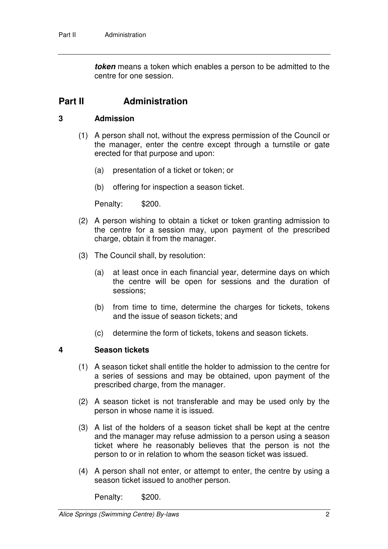**token** means a token which enables a person to be admitted to the centre for one session.

## **Part II Administration**

#### **3 Admission**

- (1) A person shall not, without the express permission of the Council or the manager, enter the centre except through a turnstile or gate erected for that purpose and upon:
	- (a) presentation of a ticket or token; or
	- (b) offering for inspection a season ticket.

Penalty: \$200.

- (2) A person wishing to obtain a ticket or token granting admission to the centre for a session may, upon payment of the prescribed charge, obtain it from the manager.
- (3) The Council shall, by resolution:
	- (a) at least once in each financial year, determine days on which the centre will be open for sessions and the duration of sessions;
	- (b) from time to time, determine the charges for tickets, tokens and the issue of season tickets; and
	- (c) determine the form of tickets, tokens and season tickets.

#### **4 Season tickets**

- (1) A season ticket shall entitle the holder to admission to the centre for a series of sessions and may be obtained, upon payment of the prescribed charge, from the manager.
- (2) A season ticket is not transferable and may be used only by the person in whose name it is issued.
- (3) A list of the holders of a season ticket shall be kept at the centre and the manager may refuse admission to a person using a season ticket where he reasonably believes that the person is not the person to or in relation to whom the season ticket was issued.
- (4) A person shall not enter, or attempt to enter, the centre by using a season ticket issued to another person.

Penalty: \$200.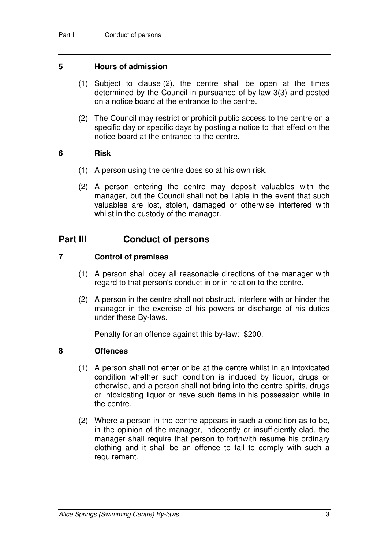#### **5 Hours of admission**

- (1) Subject to clause (2), the centre shall be open at the times determined by the Council in pursuance of by-law 3(3) and posted on a notice board at the entrance to the centre.
- (2) The Council may restrict or prohibit public access to the centre on a specific day or specific days by posting a notice to that effect on the notice board at the entrance to the centre.

#### **6 Risk**

- (1) A person using the centre does so at his own risk.
- (2) A person entering the centre may deposit valuables with the manager, but the Council shall not be liable in the event that such valuables are lost, stolen, damaged or otherwise interfered with whilst in the custody of the manager.

## **Part III Conduct of persons**

#### **7 Control of premises**

- (1) A person shall obey all reasonable directions of the manager with regard to that person's conduct in or in relation to the centre.
- (2) A person in the centre shall not obstruct, interfere with or hinder the manager in the exercise of his powers or discharge of his duties under these By-laws.

Penalty for an offence against this by-law: \$200.

#### **8 Offences**

- (1) A person shall not enter or be at the centre whilst in an intoxicated condition whether such condition is induced by liquor, drugs or otherwise, and a person shall not bring into the centre spirits, drugs or intoxicating liquor or have such items in his possession while in the centre.
- (2) Where a person in the centre appears in such a condition as to be, in the opinion of the manager, indecently or insufficiently clad, the manager shall require that person to forthwith resume his ordinary clothing and it shall be an offence to fail to comply with such a requirement.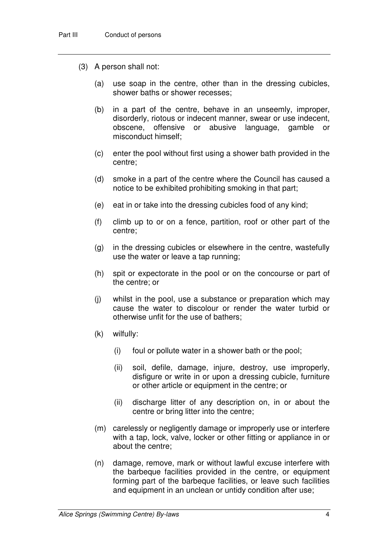- (3) A person shall not:
	- (a) use soap in the centre, other than in the dressing cubicles, shower baths or shower recesses;
	- (b) in a part of the centre, behave in an unseemly, improper, disorderly, riotous or indecent manner, swear or use indecent, obscene, offensive or abusive language, gamble or misconduct himself;
	- (c) enter the pool without first using a shower bath provided in the centre;
	- (d) smoke in a part of the centre where the Council has caused a notice to be exhibited prohibiting smoking in that part;
	- (e) eat in or take into the dressing cubicles food of any kind;
	- (f) climb up to or on a fence, partition, roof or other part of the centre;
	- (g) in the dressing cubicles or elsewhere in the centre, wastefully use the water or leave a tap running;
	- (h) spit or expectorate in the pool or on the concourse or part of the centre; or
	- (j) whilst in the pool, use a substance or preparation which may cause the water to discolour or render the water turbid or otherwise unfit for the use of bathers;
	- (k) wilfully:
		- (i) foul or pollute water in a shower bath or the pool;
		- (ii) soil, defile, damage, injure, destroy, use improperly, disfigure or write in or upon a dressing cubicle, furniture or other article or equipment in the centre; or
		- (ii) discharge litter of any description on, in or about the centre or bring litter into the centre;
	- (m) carelessly or negligently damage or improperly use or interfere with a tap, lock, valve, locker or other fitting or appliance in or about the centre;
	- (n) damage, remove, mark or without lawful excuse interfere with the barbeque facilities provided in the centre, or equipment forming part of the barbeque facilities, or leave such facilities and equipment in an unclean or untidy condition after use;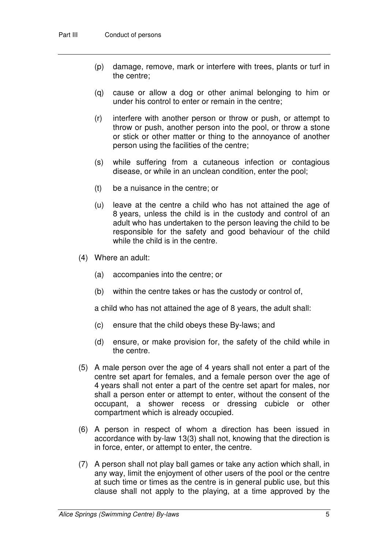- (p) damage, remove, mark or interfere with trees, plants or turf in the centre;
- (q) cause or allow a dog or other animal belonging to him or under his control to enter or remain in the centre;
- (r) interfere with another person or throw or push, or attempt to throw or push, another person into the pool, or throw a stone or stick or other matter or thing to the annoyance of another person using the facilities of the centre;
- (s) while suffering from a cutaneous infection or contagious disease, or while in an unclean condition, enter the pool;
- (t) be a nuisance in the centre; or
- (u) leave at the centre a child who has not attained the age of 8 years, unless the child is in the custody and control of an adult who has undertaken to the person leaving the child to be responsible for the safety and good behaviour of the child while the child is in the centre.
- (4) Where an adult:
	- (a) accompanies into the centre; or
	- (b) within the centre takes or has the custody or control of,

a child who has not attained the age of 8 years, the adult shall:

- (c) ensure that the child obeys these By-laws; and
- (d) ensure, or make provision for, the safety of the child while in the centre.
- (5) A male person over the age of 4 years shall not enter a part of the centre set apart for females, and a female person over the age of 4 years shall not enter a part of the centre set apart for males, nor shall a person enter or attempt to enter, without the consent of the occupant, a shower recess or dressing cubicle or other compartment which is already occupied.
- (6) A person in respect of whom a direction has been issued in accordance with by-law 13(3) shall not, knowing that the direction is in force, enter, or attempt to enter, the centre.
- (7) A person shall not play ball games or take any action which shall, in any way, limit the enjoyment of other users of the pool or the centre at such time or times as the centre is in general public use, but this clause shall not apply to the playing, at a time approved by the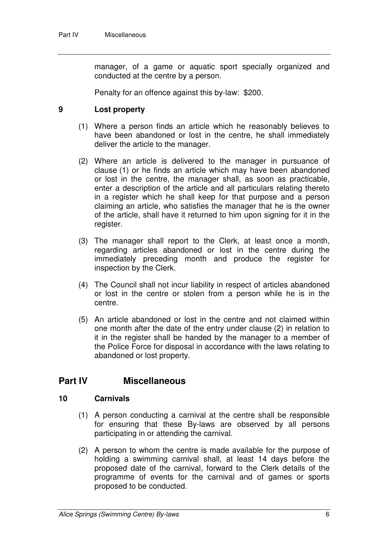manager, of a game or aquatic sport specially organized and conducted at the centre by a person.

Penalty for an offence against this by-law: \$200.

#### **9 Lost property**

- (1) Where a person finds an article which he reasonably believes to have been abandoned or lost in the centre, he shall immediately deliver the article to the manager.
- (2) Where an article is delivered to the manager in pursuance of clause (1) or he finds an article which may have been abandoned or lost in the centre, the manager shall, as soon as practicable, enter a description of the article and all particulars relating thereto in a register which he shall keep for that purpose and a person claiming an article, who satisfies the manager that he is the owner of the article, shall have it returned to him upon signing for it in the register.
- (3) The manager shall report to the Clerk, at least once a month, regarding articles abandoned or lost in the centre during the immediately preceding month and produce the register for inspection by the Clerk.
- (4) The Council shall not incur liability in respect of articles abandoned or lost in the centre or stolen from a person while he is in the centre.
- (5) An article abandoned or lost in the centre and not claimed within one month after the date of the entry under clause (2) in relation to it in the register shall be handed by the manager to a member of the Police Force for disposal in accordance with the laws relating to abandoned or lost property.

## **Part IV Miscellaneous**

#### **10 Carnivals**

- (1) A person conducting a carnival at the centre shall be responsible for ensuring that these By-laws are observed by all persons participating in or attending the carnival.
- (2) A person to whom the centre is made available for the purpose of holding a swimming carnival shall, at least 14 days before the proposed date of the carnival, forward to the Clerk details of the programme of events for the carnival and of games or sports proposed to be conducted.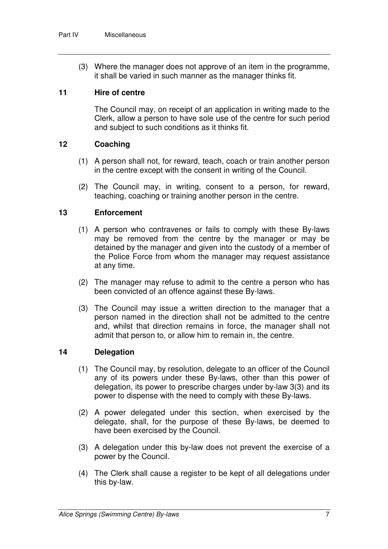(3) Where the manager does not approve of an item in the programme, it shall be varied in such manner as the manager thinks fit.

#### **11 Hire of centre**

The Council may, on receipt of an application in writing made to the Clerk, allow a person to have sole use of the centre for such period and subject to such conditions as it thinks fit.

#### **12 Coaching**

- (1) A person shall not, for reward, teach, coach or train another person in the centre except with the consent in writing of the Council.
- (2) The Council may, in writing, consent to a person, for reward, teaching, coaching or training another person in the centre.

#### **13 Enforcement**

- (1) A person who contravenes or fails to comply with these By-laws may be removed from the centre by the manager or may be detained by the manager and given into the custody of a member of the Police Force from whom the manager may request assistance at any time.
- (2) The manager may refuse to admit to the centre a person who has been convicted of an offence against these By-laws.
- (3) The Council may issue a written direction to the manager that a person named in the direction shall not be admitted to the centre and, whilst that direction remains in force, the manager shall not admit that person to, or allow him to remain in, the centre.

## **14 Delegation**

- (1) The Council may, by resolution, delegate to an officer of the Council any of its powers under these By-laws, other than this power of delegation, its power to prescribe charges under by-law 3(3) and its power to dispense with the need to comply with these By-laws.
- (2) A power delegated under this section, when exercised by the delegate, shall, for the purpose of these By-laws, be deemed to have been exercised by the Council.
- (3) A delegation under this by-law does not prevent the exercise of a power by the Council.
- (4) The Clerk shall cause a register to be kept of all delegations under this by-law.